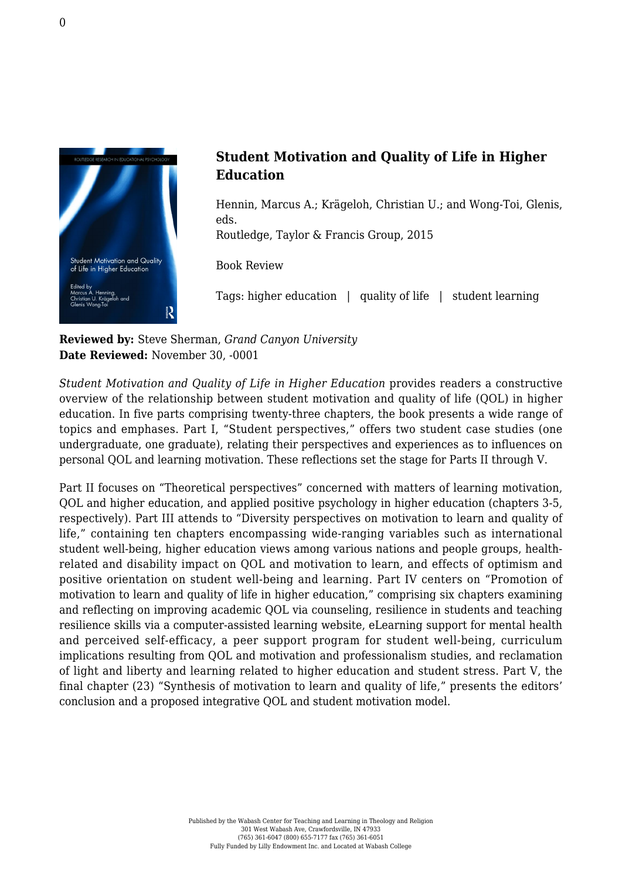

## **Student Motivation and Quality of Life in Higher Education**

Hennin, Marcus A.; Krägeloh, Christian U.; and Wong-Toi, Glenis, eds.

[Routledge, Taylor & Francis Group, 2015](http://www.routledge.com/books/details/9780415858052/)

Book Review

Tags: higher education | quality of life | student learning

**Reviewed by:** Steve Sherman, *Grand Canyon University* **Date Reviewed:** November 30, -0001

*Student Motivation and Quality of Life in Higher Education* provides readers a constructive overview of the relationship between student motivation and quality of life (QOL) in higher education. In five parts comprising twenty-three chapters, the book presents a wide range of topics and emphases. Part I, "Student perspectives," offers two student case studies (one undergraduate, one graduate), relating their perspectives and experiences as to influences on personal QOL and learning motivation. These reflections set the stage for Parts II through V.

Part II focuses on "Theoretical perspectives" concerned with matters of learning motivation, QOL and higher education, and applied positive psychology in higher education (chapters 3-5, respectively). Part III attends to "Diversity perspectives on motivation to learn and quality of life," containing ten chapters encompassing wide-ranging variables such as international student well-being, higher education views among various nations and people groups, healthrelated and disability impact on QOL and motivation to learn, and effects of optimism and positive orientation on student well-being and learning. Part IV centers on "Promotion of motivation to learn and quality of life in higher education," comprising six chapters examining and reflecting on improving academic QOL via counseling, resilience in students and teaching resilience skills via a computer-assisted learning website, eLearning support for mental health and perceived self-efficacy, a peer support program for student well-being, curriculum implications resulting from QOL and motivation and professionalism studies, and reclamation of light and liberty and learning related to higher education and student stress. Part V, the final chapter (23) "Synthesis of motivation to learn and quality of life," presents the editors' conclusion and a proposed integrative QOL and student motivation model.